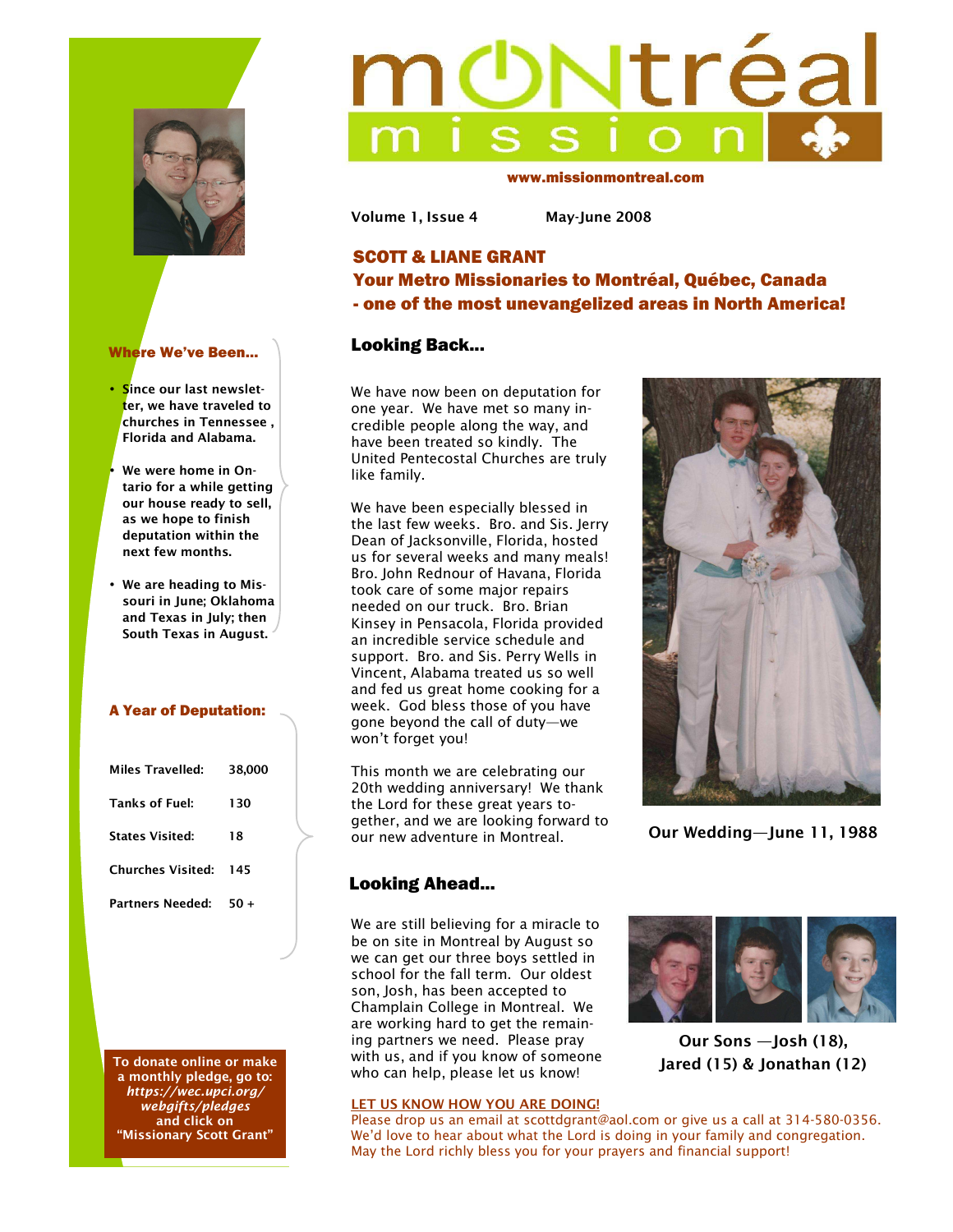



- **Since our last newsletter, we have traveled to churches in Tennessee , Florida and Alabama.**
- We were home in On**tario for a while getting our house ready to sell, as we hope to finish deputation within the next few months.**
- **We are heading to Missouri in June; Oklahoma and Texas in July; then South Texas in August.**

### A Year of Deputation:

| Miles Travelled:             | 38,000 |
|------------------------------|--------|
| <b>Tanks of Fuel:</b>        | 130    |
| <b>States Visited:</b>       | 18     |
| <b>Churches Visited: 145</b> |        |
| Partners Needed:             | $50+$  |
|                              |        |

**To donate online or make a monthly pledge, go to:**  *https://wec.upci.org/ webgifts/pledges* **and click on "Missionary Scott Grant"** 

# Ntréa

www.missionmontreal.com

**Volume 1, Issue 4 May-June 2008** 

# SCOTT & LIANE GRANT Your Metro Missionaries to Montréal, Québec, Canada - one of the most unevangelized areas in North America!

## Looking Back...

We have now been on deputation for one year. We have met so many incredible people along the way, and have been treated so kindly. The United Pentecostal Churches are truly like family.

We have been especially blessed in the last few weeks. Bro. and Sis. Jerry Dean of Jacksonville, Florida, hosted us for several weeks and many meals! Bro. John Rednour of Havana, Florida took care of some major repairs needed on our truck. Bro. Brian Kinsey in Pensacola, Florida provided an incredible service schedule and support. Bro. and Sis. Perry Wells in Vincent, Alabama treated us so well and fed us great home cooking for a week. God bless those of you have gone beyond the call of duty—we won't forget you!

This month we are celebrating our 20th wedding anniversary! We thank the Lord for these great years together, and we are looking forward to our new adventure in Montreal.

# Looking Ahead...

We are still believing for a miracle to be on site in Montreal by August so we can get our three boys settled in school for the fall term. Our oldest son, Josh, has been accepted to Champlain College in Montreal. We are working hard to get the remaining partners we need. Please pray with us, and if you know of someone who can help, please let us know!

### **LET US KNOW HOW YOU ARE DOING!**



**Our Sons —Josh (18), Jared (15) & Jonathan (12)** 

Please drop us an email at scottdgrant@aol.com or give us a call at 314-580-0356. We'd love to hear about what the Lord is doing in your family and congregation. May the Lord richly bless you for your prayers and financial support!



**Our Wedding—June 11, 1988**